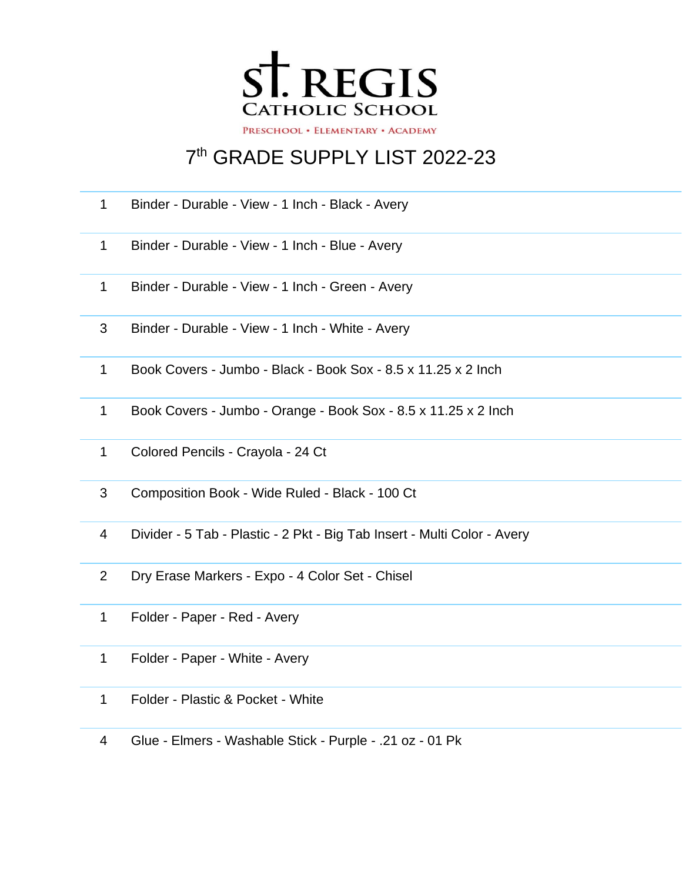

## th GRADE SUPPLY LIST 2022-23

- Binder Durable View 1 Inch Black Avery
- Binder Durable View 1 Inch Blue Avery
- Binder Durable View 1 Inch Green Avery
- Binder Durable View 1 Inch White Avery
- Book Covers Jumbo Black Book Sox 8.5 x 11.25 x 2 Inch
- Book Covers Jumbo Orange Book Sox 8.5 x 11.25 x 2 Inch
- Colored Pencils Crayola 24 Ct
- Composition Book Wide Ruled Black 100 Ct
- Divider 5 Tab Plastic 2 Pkt Big Tab Insert Multi Color Avery
- Dry Erase Markers Expo 4 Color Set Chisel
- Folder Paper Red Avery
- Folder Paper White Avery
- Folder Plastic & Pocket White
- Glue Elmers Washable Stick Purple .21 oz 01 Pk